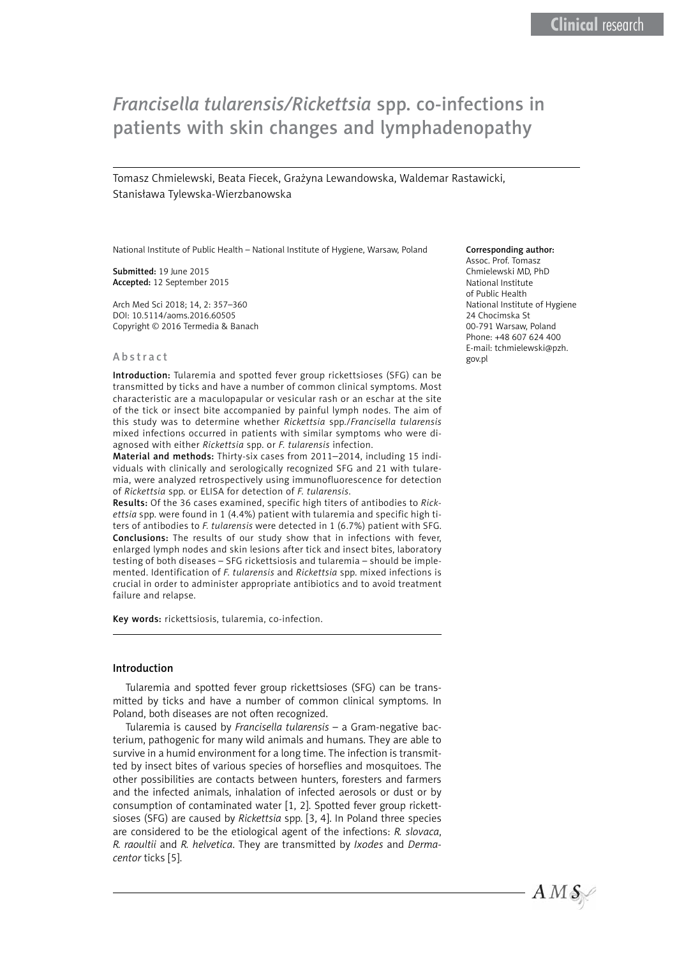# *Francisella tularensis/Rickettsia* spp. co-infections in patients with skin changes and lymphadenopathy

Tomasz Chmielewski, Beata Fiecek, Grażyna Lewandowska, Waldemar Rastawicki, Stanisława Tylewska-Wierzbanowska

National Institute of Public Health – National Institute of Hygiene, Warsaw, Poland

Submitted: 19 June 2015 Accepted: 12 September 2015

Arch Med Sci 2018; 14, 2: 357–360 DOI: 10.5114/aoms.2016.60505 Copyright © 2016 Termedia & Banach

#### Abstract

Introduction: Tularemia and spotted fever group rickettsioses (SFG) can be transmitted by ticks and have a number of common clinical symptoms. Most characteristic are a maculopapular or vesicular rash or an eschar at the site of the tick or insect bite accompanied by painful lymph nodes. The aim of this study was to determine whether *Rickettsia* spp./*Francisella tularensis* mixed infections occurred in patients with similar symptoms who were diagnosed with either *Rickettsia* spp. or *F. tularensis* infection.

Material and methods: Thirty-six cases from 2011–2014, including 15 individuals with clinically and serologically recognized SFG and 21 with tularemia, were analyzed retrospectively using immunofluorescence for detection of *Rickettsia* spp. or ELISA for detection of *F. tularensis*.

Results: Of the 36 cases examined, specific high titers of antibodies to *Rickettsia* spp. were found in 1 (4.4%) patient with tularemia and specific high titers of antibodies to *F. tularensis* were detected in 1 (6.7%) patient with SFG. Conclusions: The results of our study show that in infections with fever, enlarged lymph nodes and skin lesions after tick and insect bites, laboratory testing of both diseases – SFG rickettsiosis and tularemia – should be implemented. Identification of *F. tularensis* and *Rickettsia* spp. mixed infections is crucial in order to administer appropriate antibiotics and to avoid treatment failure and relapse.

Key words: rickettsiosis, tularemia, co-infection.

### Introduction

Tularemia and spotted fever group rickettsioses (SFG) can be transmitted by ticks and have a number of common clinical symptoms. In Poland, both diseases are not often recognized.

Tularemia is caused by *Francisella tularensis* – a Gram-negative bacterium, pathogenic for many wild animals and humans. They are able to survive in a humid environment for a long time. The infection is transmitted by insect bites of various species of horseflies and mosquitoes. The other possibilities are contacts between hunters, foresters and farmers and the infected animals, inhalation of infected aerosols or dust or by consumption of contaminated water [1, 2]. Spotted fever group rickettsioses (SFG) are caused by *Rickettsia* spp. [3, 4]. In Poland three species are considered to be the etiological agent of the infections: *R. slovaca*, *R. raoultii* and *R. helvetica*. They are transmitted by *Ixodes* and *Dermacentor* ticks [5].

#### Corresponding author:

Assoc. Prof. Tomasz Chmielewski MD, PhD National Institute of Public Health National Institute of Hygiene 24 Chocimska St 00-791 Warsaw, Poland Phone: +48 607 624 400 E-mail: [tchmielewski@pzh.](mailto:tchmielewski@pzh.gov.pl) [gov.pl](mailto:tchmielewski@pzh.gov.pl)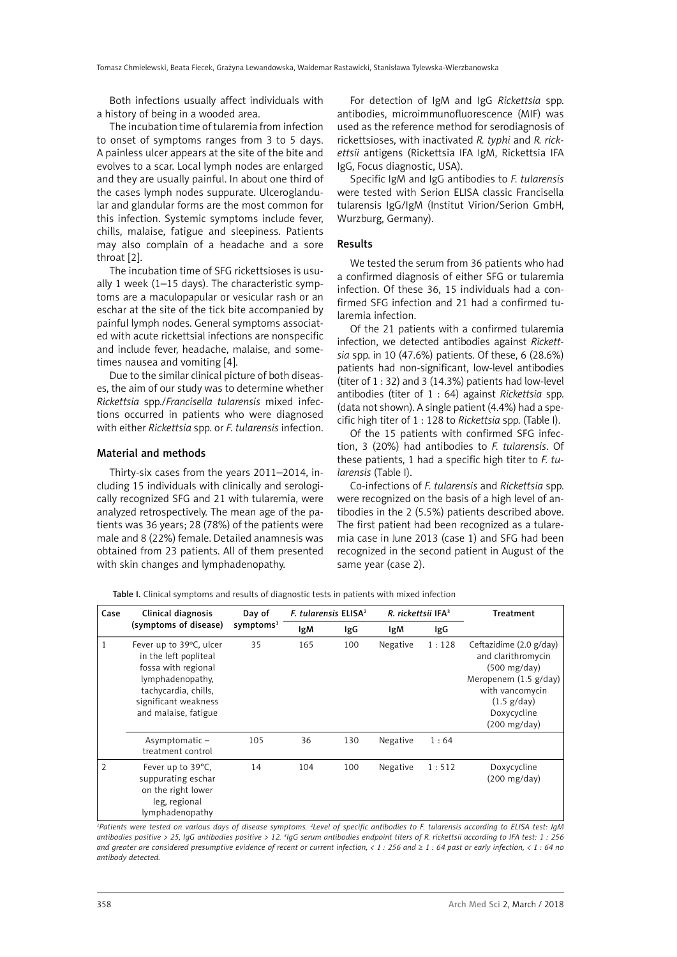Both infections usually affect individuals with a history of being in a wooded area.

The incubation time of tularemia from infection to onset of symptoms ranges from 3 to 5 days. A painless ulcer appears at the site of the bite and evolves to a scar. Local lymph nodes are enlarged and they are usually painful. In about one third of the cases lymph nodes suppurate. Ulceroglandular and glandular forms are the most common for this infection. Systemic symptoms include fever, chills, malaise, fatigue and sleepiness. Patients may also complain of a headache and a sore throat [2].

The incubation time of SFG rickettsioses is usually 1 week (1–15 days). The characteristic symptoms are a maculopapular or vesicular rash or an eschar at the site of the tick bite accompanied by painful lymph nodes. General symptoms associated with acute rickettsial infections are nonspecific and include fever, headache, malaise, and sometimes nausea and vomiting [4].

Due to the similar clinical picture of both diseases, the aim of our study was to determine whether *Rickettsia* spp./*Francisella tularensis* mixed infections occurred in patients who were diagnosed with either *Rickettsia* spp. or *F. tularensis* infection.

### Material and methods

Thirty-six cases from the years 2011–2014, including 15 individuals with clinically and serologically recognized SFG and 21 with tularemia, were analyzed retrospectively. The mean age of the patients was 36 years; 28 (78%) of the patients were male and 8 (22%) female. Detailed anamnesis was obtained from 23 patients. All of them presented with skin changes and lymphadenopathy.

For detection of IgM and IgG *Rickettsia* spp. antibodies, microimmunofluorescence (MIF) was used as the reference method for serodiagnosis of rickettsioses, with inactivated *R. typhi* and *R. rickettsii* antigens (Rickettsia IFA IgM, Rickettsia IFA IgG, Focus diagnostic, USA).

Specific IgM and IgG antibodies to *F. tularensis*  were tested with Serion ELISA classic Francisella tularensis IgG/IgM (Institut Virion/Serion GmbH, Wurzburg, Germany).

## Results

We tested the serum from 36 patients who had a confirmed diagnosis of either SFG or tularemia infection. Of these 36, 15 individuals had a confirmed SFG infection and 21 had a confirmed tularemia infection.

Of the 21 patients with a confirmed tularemia infection, we detected antibodies against *Rickettsia* spp. in 10 (47.6%) patients. Of these, 6 (28.6%) patients had non-significant, low-level antibodies (titer of  $1:32$ ) and  $3(14.3%)$  patients had low-level antibodies (titer of 1 : 64) against *Rickettsia* spp. (data not shown). A single patient (4.4%) had a specific high titer of 1 : 128 to *Rickettsia* spp. (Table I).

Of the 15 patients with confirmed SFG infection, 3 (20%) had antibodies to *F. tularensis*. Of these patients, 1 had a specific high titer to *F. tularensis* (Table I).

Co-infections of *F. tularensis* and *Rickettsia* spp. were recognized on the basis of a high level of antibodies in the 2 (5.5%) patients described above. The first patient had been recognized as a tularemia case in June 2013 (case 1) and SFG had been recognized in the second patient in August of the same year (case 2).

Table I. Clinical symptoms and results of diagnostic tests in patients with mixed infection

| Case           | Clinical diagnosis<br>(symptoms of disease)                                                                                                                         | Day of<br>symptoms <sup>1</sup> | F. tularensis ELISA <sup>2</sup> |     | R. rickettsii IFA <sup>3</sup> |       | Treatment                                                                                                                                                                   |
|----------------|---------------------------------------------------------------------------------------------------------------------------------------------------------------------|---------------------------------|----------------------------------|-----|--------------------------------|-------|-----------------------------------------------------------------------------------------------------------------------------------------------------------------------------|
|                |                                                                                                                                                                     |                                 | lgM                              | IgG | IgM                            | IgG   |                                                                                                                                                                             |
| 1              | Fever up to 39°C, ulcer<br>in the left popliteal<br>fossa with regional<br>lymphadenopathy,<br>tachycardia, chills,<br>significant weakness<br>and malaise, fatigue | 35                              | 165                              | 100 | Negative                       | 1:128 | Ceftazidime (2.0 g/day)<br>and clarithromycin<br>$(500 \text{ mg/day})$<br>Meropenem (1.5 g/day)<br>with vancomycin<br>(1.5 g/day)<br>Doxycycline<br>$(200 \text{ mg/day})$ |
|                | Asymptomatic –<br>treatment control                                                                                                                                 | 105                             | 36                               | 130 | Negative                       | 1:64  |                                                                                                                                                                             |
| $\mathfrak{D}$ | Fever up to 39°C,<br>suppurating eschar<br>on the right lower<br>leg, regional<br>lymphadenopathy                                                                   | 14                              | 104                              | 100 | Negative                       | 1:512 | Doxycycline<br>$(200 \text{ mg/day})$                                                                                                                                       |

<sup>1</sup>Patients were tested on various days of disease symptoms. <sup>2</sup>Level of specific antibodies to F. tularensis according to ELISA test: IgM *antibodies positive > 25, IgG antibodies positive > 12. 3 IgG serum antibodies endpoint titers of R. rickettsii according to IFA test: 1 : 256*  and greater are considered presumptive evidence of recent or current infection, < 1 : 256 and ≥ 1 : 64 past or early infection, < 1 : 64 no *antibody detected.*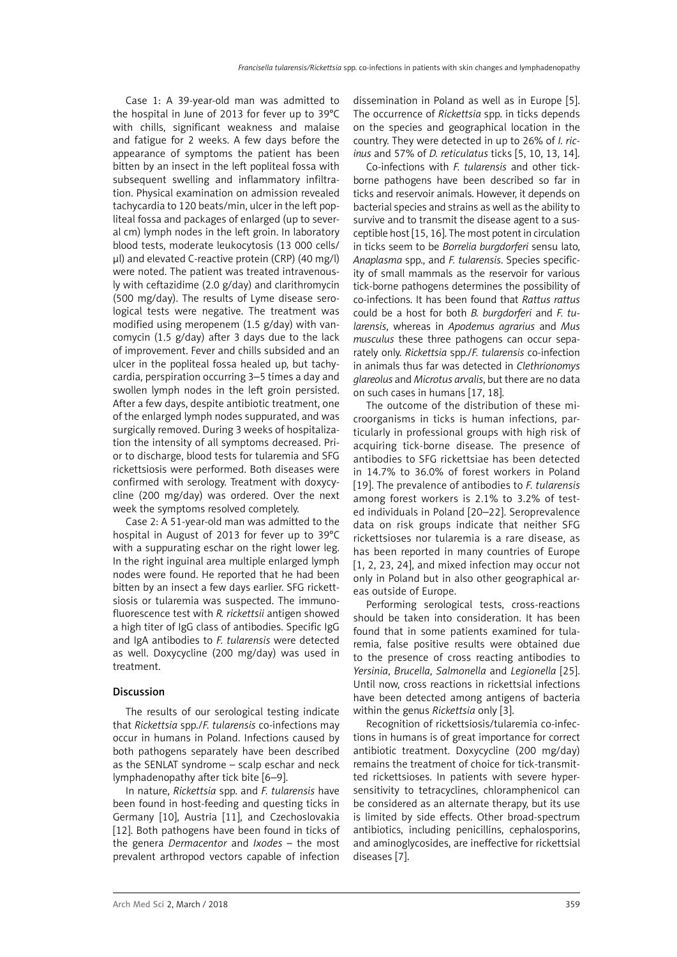Case 1: A 39-year-old man was admitted to the hospital in June of 2013 for fever up to 39°C with chills, significant weakness and malaise and fatigue for 2 weeks. A few days before the appearance of symptoms the patient has been bitten by an insect in the left popliteal fossa with subsequent swelling and inflammatory infiltration. Physical examination on admission revealed tachycardia to 120 beats/min, ulcer in the left popliteal fossa and packages of enlarged (up to several cm) lymph nodes in the left groin. In laboratory blood tests, moderate leukocytosis (13 000 cells/ µl) and elevated C-reactive protein (CRP) (40 mg/l) were noted. The patient was treated intravenously with ceftazidime (2.0 g/day) and clarithromycin (500 mg/day). The results of Lyme disease serological tests were negative. The treatment was modified using meropenem (1.5 g/day) with vancomycin (1.5 g/day) after 3 days due to the lack of improvement. Fever and chills subsided and an ulcer in the popliteal fossa healed up, but tachycardia, perspiration occurring 3–5 times a day and swollen lymph nodes in the left groin persisted. After a few days, despite antibiotic treatment, one of the enlarged lymph nodes suppurated, and was surgically removed. During 3 weeks of hospitalization the intensity of all symptoms decreased. Prior to discharge, blood tests for tularemia and SFG rickettsiosis were performed. Both diseases were confirmed with serology. Treatment with doxycycline (200 mg/day) was ordered. Over the next week the symptoms resolved completely.

Case 2: A 51-year-old man was admitted to the hospital in August of 2013 for fever up to 39°C with a suppurating eschar on the right lower leg. In the right inguinal area multiple enlarged lymph nodes were found. He reported that he had been bitten by an insect a few days earlier. SFG rickettsiosis or tularemia was suspected. The immunofluorescence test with *R. rickettsii* antigen showed a high titer of IgG class of antibodies. Specific IgG and IgA antibodies to *F. tularensis* were detected as well. Doxycycline (200 mg/day) was used in treatment.

# Discussion

The results of our serological testing indicate that *Rickettsia* spp./*F. tularensis* co-infections may occur in humans in Poland. Infections caused by both pathogens separately have been described as the SENLAT syndrome – scalp eschar and neck lymphadenopathy after tick bite [6–9].

In nature, *Rickettsia* spp. and *F. tularensis* have been found in host-feeding and questing ticks in Germany [10], Austria [11], and Czechoslovakia [12]. Both pathogens have been found in ticks of the genera *Dermacentor* and *Ixodes* – the most prevalent arthropod vectors capable of infection dissemination in Poland as well as in Europe [5]. The occurrence of *Rickettsia* spp. in ticks depends on the species and geographical location in the country. They were detected in up to 26% of *I. ricinus* and 57% of *D. reticulatus* ticks [5, 10, 13, 14].

Co-infections with *F. tularensis* and other tickborne pathogens have been described so far in ticks and reservoir animals. However, it depends on bacterial species and strains as well as the ability to survive and to transmit the disease agent to a susceptible host [15, 16]. The most potent in circulation in ticks seem to be *Borrelia burgdorferi* sensu lato, *Anaplasma* spp., and *F. tularensis*. Species specificity of small mammals as the reservoir for various tick-borne pathogens determines the possibility of co-infections. It has been found that *Rattus rattus* could be a host for both *B. burgdorferi* and *F. tularensis*, whereas in *Apodemus agrarius* and *Mus musculus* these three pathogens can occur separately only. *Rickettsia* spp./*F. tularensis* co-infection in animals thus far was detected in *Clethrionomys glareolus* and *Microtus arvalis*, but there are no data on such cases in humans [17, 18].

The outcome of the distribution of these microorganisms in ticks is human infections, particularly in professional groups with high risk of acquiring tick-borne disease. The presence of antibodies to SFG rickettsiae has been detected in 14.7% to 36.0% of forest workers in Poland [19]. The prevalence of antibodies to *F. tularensis* among forest workers is 2.1% to 3.2% of tested individuals in Poland [20–22]. Seroprevalence data on risk groups indicate that neither SFG rickettsioses nor tularemia is a rare disease, as has been reported in many countries of Europe [1, 2, 23, 24], and mixed infection may occur not only in Poland but in also other geographical areas outside of Europe.

Performing serological tests, cross-reactions should be taken into consideration. It has been found that in some patients examined for tularemia, false positive results were obtained due to the presence of cross reacting antibodies to *Yersinia*, *Brucella*, *Salmonella* and *Legionella* [25]. Until now, cross reactions in rickettsial infections have been detected among antigens of bacteria within the genus *Rickettsia* only [3].

Recognition of rickettsiosis/tularemia co-infections in humans is of great importance for correct antibiotic treatment. Doxycycline (200 mg/day) remains the treatment of choice for tick-transmitted rickettsioses. In patients with severe hypersensitivity to tetracyclines, chloramphenicol can be considered as an alternate therapy, but its use is limited by side effects. Other broad-spectrum antibiotics, including penicillins, cephalosporins, and aminoglycosides, are ineffective for rickettsial diseases [7].